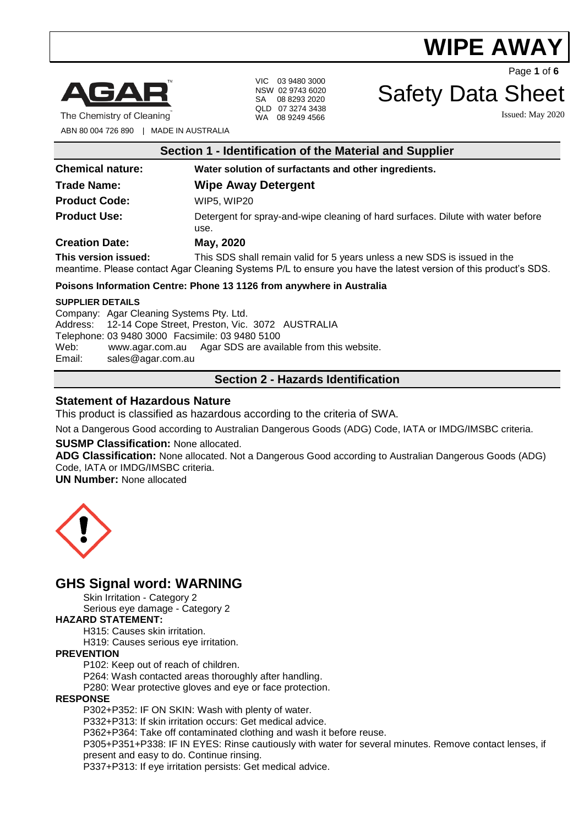

The Chemistry of Cleaning

VIC 03 9480 3000 NSW 02 9743 6020 SA 08 8293 2020 QLD 07 3274 3438 WA 08 9249 4566

ABN 80 004 726 890 | MADE IN AUSTRALIA

| Section 1 - Identification of the Material and Supplier |                                                                                                                                                                                              |  |
|---------------------------------------------------------|----------------------------------------------------------------------------------------------------------------------------------------------------------------------------------------------|--|
| <b>Chemical nature:</b>                                 | Water solution of surfactants and other ingredients.                                                                                                                                         |  |
| <b>Trade Name:</b>                                      | <b>Wipe Away Detergent</b>                                                                                                                                                                   |  |
| <b>Product Code:</b>                                    | WIP5. WIP20                                                                                                                                                                                  |  |
| <b>Product Use:</b>                                     | Detergent for spray-and-wipe cleaning of hard surfaces. Dilute with water before<br>use.                                                                                                     |  |
| <b>Creation Date:</b>                                   | May, 2020                                                                                                                                                                                    |  |
| This version issued:                                    | This SDS shall remain valid for 5 years unless a new SDS is issued in the<br>meantime. Please contact Agar Cleaning Systems P/L to ensure you have the latest version of this product's SDS. |  |

#### **Poisons Information Centre: Phone 13 1126 from anywhere in Australia**

#### **SUPPLIER DETAILS**

Company: Agar Cleaning Systems Pty. Ltd. Address: 12-14 Cope Street, Preston, Vic. 3072 AUSTRALIA Telephone: 03 9480 3000 Facsimile: 03 9480 5100 Web: [www.agar.com.au](http://www.agar.com.au/) Agar SDS are available from this website. Email: [sales@agar.com.au](mailto:sales@agar.com.au)

# **Section 2 - Hazards Identification**

#### **Statement of Hazardous Nature**

This product is classified as hazardous according to the criteria of SWA.

Not a Dangerous Good according to Australian Dangerous Goods (ADG) Code, IATA or IMDG/IMSBC criteria.

#### **SUSMP Classification:** None allocated.

**ADG Classification:** None allocated. Not a Dangerous Good according to Australian Dangerous Goods (ADG) Code, IATA or IMDG/IMSBC criteria.

**UN Number:** None allocated



# **GHS Signal word: WARNING**

Skin Irritation - Category 2

Serious eye damage - Category 2

#### **HAZARD STATEMENT:**

H315: Causes skin irritation.

H319: Causes serious eye irritation.

#### **PREVENTION**

P102: Keep out of reach of children.

P264: Wash contacted areas thoroughly after handling.

P280: Wear protective gloves and eye or face protection.

#### **RESPONSE**

P302+P352: IF ON SKIN: Wash with plenty of water.

P332+P313: If skin irritation occurs: Get medical advice.

P362+P364: Take off contaminated clothing and wash it before reuse.

P305+P351+P338: IF IN EYES: Rinse cautiously with water for several minutes. Remove contact lenses, if present and easy to do. Continue rinsing.

P337+P313: If eye irritation persists: Get medical advice.

# Safety Data Sheet

Issued: May 2020

Page **1** of **6**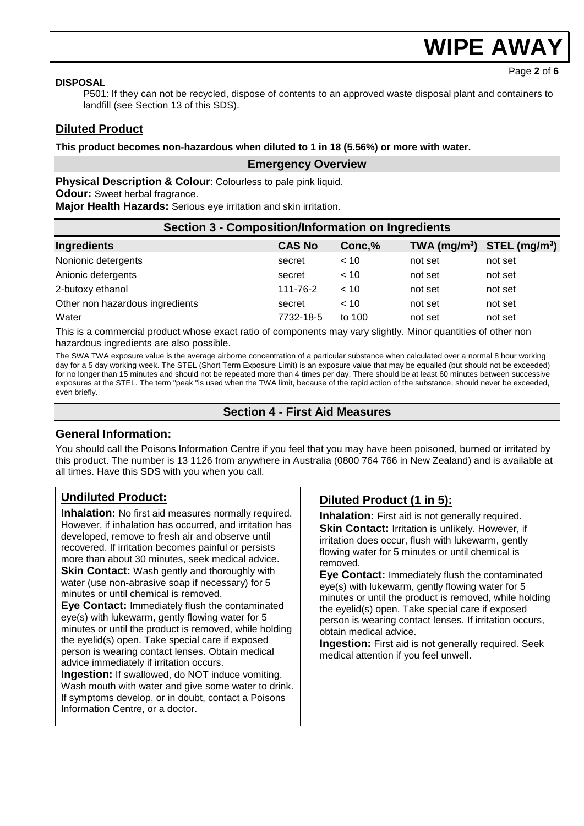Page **2** of **6**

#### **DISPOSAL**

P501: If they can not be recycled, dispose of contents to an approved waste disposal plant and containers to landfill (see Section 13 of this SDS).

## **Diluted Product**

#### **This product becomes non-hazardous when diluted to 1 in 18 (5.56%) or more with water.**

#### **Emergency Overview**

**Physical Description & Colour: Colourless to pale pink liquid.** 

**Odour:** Sweet herbal fragrance.

**Major Health Hazards:** Serious eye irritation and skin irritation.

| <b>Section 3 - Composition/Information on Ingredients</b> |               |        |         |                                |
|-----------------------------------------------------------|---------------|--------|---------|--------------------------------|
| Ingredients                                               | <b>CAS No</b> | Conc,% |         | TWA $(mg/m^3)$ STEL $(mg/m^3)$ |
| Nonionic detergents                                       | secret        | < 10   | not set | not set                        |
| Anionic detergents                                        | secret        | < 10   | not set | not set                        |
| 2-butoxy ethanol                                          | 111-76-2      | < 10   | not set | not set                        |
| Other non hazardous ingredients                           | secret        | < 10   | not set | not set                        |
| Water                                                     | 7732-18-5     | to 100 | not set | not set                        |

This is a commercial product whose exact ratio of components may vary slightly. Minor quantities of other non hazardous ingredients are also possible.

The SWA TWA exposure value is the average airborne concentration of a particular substance when calculated over a normal 8 hour working day for a 5 day working week. The STEL (Short Term Exposure Limit) is an exposure value that may be equalled (but should not be exceeded) for no longer than 15 minutes and should not be repeated more than 4 times per day. There should be at least 60 minutes between successive exposures at the STEL. The term "peak "is used when the TWA limit, because of the rapid action of the substance, should never be exceeded, even briefly.

#### **Section 4 - First Aid Measures**

### **General Information:**

You should call the Poisons Information Centre if you feel that you may have been poisoned, burned or irritated by this product. The number is 13 1126 from anywhere in Australia (0800 764 766 in New Zealand) and is available at all times. Have this SDS with you when you call.

# **Undiluted Product:**

**Inhalation:** No first aid measures normally required. However, if inhalation has occurred, and irritation has developed, remove to fresh air and observe until recovered. If irritation becomes painful or persists more than about 30 minutes, seek medical advice. **Skin Contact:** Wash gently and thoroughly with water (use non-abrasive soap if necessary) for 5 minutes or until chemical is removed.

**Eye Contact:** Immediately flush the contaminated eye(s) with lukewarm, gently flowing water for 5 minutes or until the product is removed, while holding the eyelid(s) open. Take special care if exposed person is wearing contact lenses. Obtain medical advice immediately if irritation occurs.

**Ingestion:** If swallowed, do NOT induce vomiting. Wash mouth with water and give some water to drink. If symptoms develop, or in doubt, contact a Poisons Information Centre, or a doctor.

# **Diluted Product (1 in 5):**

**Inhalation:** First aid is not generally required. **Skin Contact: Irritation is unlikely. However, if** irritation does occur, flush with lukewarm, gently flowing water for 5 minutes or until chemical is removed.

**Eye Contact:** Immediately flush the contaminated eye(s) with lukewarm, gently flowing water for 5 minutes or until the product is removed, while holding the eyelid(s) open. Take special care if exposed person is wearing contact lenses. If irritation occurs, obtain medical advice.

**Ingestion:** First aid is not generally required. Seek medical attention if you feel unwell.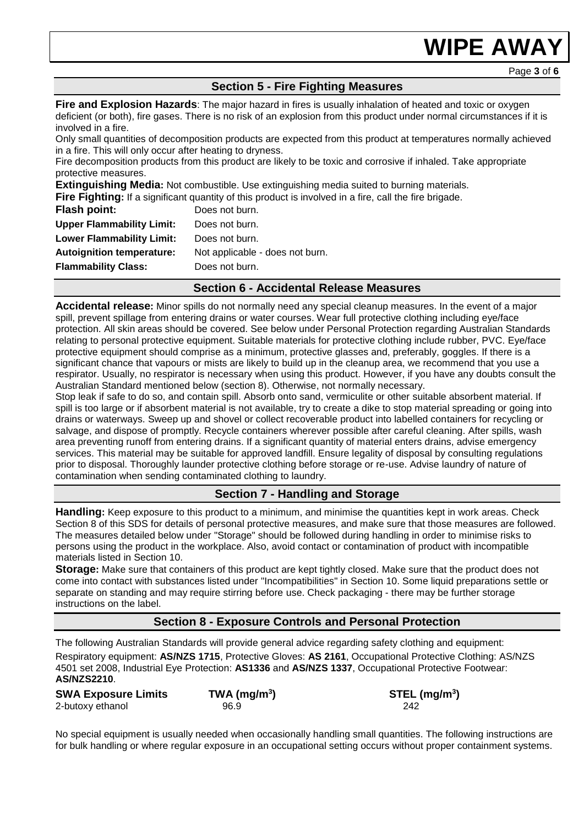## **Section 5 - Fire Fighting Measures**

**Fire and Explosion Hazards**: The major hazard in fires is usually inhalation of heated and toxic or oxygen deficient (or both), fire gases. There is no risk of an explosion from this product under normal circumstances if it is involved in a fire.

Only small quantities of decomposition products are expected from this product at temperatures normally achieved in a fire. This will only occur after heating to dryness.

Fire decomposition products from this product are likely to be toxic and corrosive if inhaled. Take appropriate protective measures.

**Extinguishing Media:** Not combustible. Use extinguishing media suited to burning materials.

**Fire Fighting:** If a significant quantity of this product is involved in a fire, call the fire brigade.

| <b>Flash point:</b>              | Does not burn.                  |
|----------------------------------|---------------------------------|
| <b>Upper Flammability Limit:</b> | Does not burn.                  |
| <b>Lower Flammability Limit:</b> | Does not burn.                  |
| <b>Autoignition temperature:</b> | Not applicable - does not burn. |
| <b>Flammability Class:</b>       | Does not burn.                  |
|                                  |                                 |

#### **Section 6 - Accidental Release Measures**

**Accidental release:** Minor spills do not normally need any special cleanup measures. In the event of a major spill, prevent spillage from entering drains or water courses. Wear full protective clothing including eye/face protection. All skin areas should be covered. See below under Personal Protection regarding Australian Standards relating to personal protective equipment. Suitable materials for protective clothing include rubber, PVC. Eye/face protective equipment should comprise as a minimum, protective glasses and, preferably, goggles. If there is a significant chance that vapours or mists are likely to build up in the cleanup area, we recommend that you use a respirator. Usually, no respirator is necessary when using this product. However, if you have any doubts consult the Australian Standard mentioned below (section 8). Otherwise, not normally necessary.

Stop leak if safe to do so, and contain spill. Absorb onto sand, vermiculite or other suitable absorbent material. If spill is too large or if absorbent material is not available, try to create a dike to stop material spreading or going into drains or waterways. Sweep up and shovel or collect recoverable product into labelled containers for recycling or salvage, and dispose of promptly. Recycle containers wherever possible after careful cleaning. After spills, wash area preventing runoff from entering drains. If a significant quantity of material enters drains, advise emergency services. This material may be suitable for approved landfill. Ensure legality of disposal by consulting regulations prior to disposal. Thoroughly launder protective clothing before storage or re-use. Advise laundry of nature of contamination when sending contaminated clothing to laundry.

### **Section 7 - Handling and Storage**

**Handling:** Keep exposure to this product to a minimum, and minimise the quantities kept in work areas. Check Section 8 of this SDS for details of personal protective measures, and make sure that those measures are followed. The measures detailed below under "Storage" should be followed during handling in order to minimise risks to persons using the product in the workplace. Also, avoid contact or contamination of product with incompatible materials listed in Section 10.

**Storage:** Make sure that containers of this product are kept tightly closed. Make sure that the product does not come into contact with substances listed under "Incompatibilities" in Section 10. Some liquid preparations settle or separate on standing and may require stirring before use. Check packaging - there may be further storage instructions on the label.

#### **Section 8 - Exposure Controls and Personal Protection**

The following Australian Standards will provide general advice regarding safety clothing and equipment: Respiratory equipment: **AS/NZS 1715**, Protective Gloves: **AS 2161**, Occupational Protective Clothing: AS/NZS 4501 set 2008, Industrial Eye Protection: **AS1336** and **AS/NZS 1337**, Occupational Protective Footwear: **AS/NZS2210**.

| <b>SWA Exposure Limits</b> | $TWA$ (mg/m <sup>3</sup> ) | STEL (mg/m <sup>3</sup> ) |
|----------------------------|----------------------------|---------------------------|
| 2-butoxy ethanol           | 96.9                       | 242                       |

No special equipment is usually needed when occasionally handling small quantities. The following instructions are for bulk handling or where regular exposure in an occupational setting occurs without proper containment systems.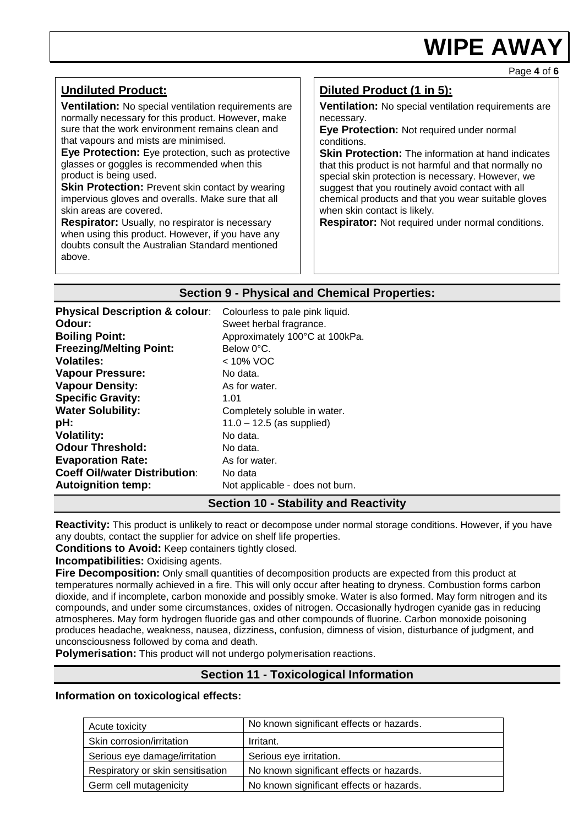Page **4** of **6**

| <b>Undiluted Product:</b><br><b>Ventilation:</b> No special ventilation requirements are<br>normally necessary for this product. However, make<br>sure that the work environment remains clean and<br>that vapours and mists are minimised.<br>Eye Protection: Eye protection, such as protective<br>glasses or goggles is recommended when this<br>product is being used.<br><b>Skin Protection:</b> Prevent skin contact by wearing<br>impervious gloves and overalls. Make sure that all<br>skin areas are covered.<br><b>Respirator:</b> Usually, no respirator is necessary<br>when using this product. However, if you have any | Diluted Product (1 in 5):<br><b>Ventilation:</b> No special ventilation requirements are<br>necessary.<br>Eye Protection: Not required under normal<br>conditions.<br><b>Skin Protection:</b> The information at hand indicates<br>that this product is not harmful and that normally no<br>special skin protection is necessary. However, we<br>suggest that you routinely avoid contact with all<br>chemical products and that you wear suitable gloves<br>when skin contact is likely.<br><b>Respirator:</b> Not required under normal conditions. |
|---------------------------------------------------------------------------------------------------------------------------------------------------------------------------------------------------------------------------------------------------------------------------------------------------------------------------------------------------------------------------------------------------------------------------------------------------------------------------------------------------------------------------------------------------------------------------------------------------------------------------------------|-------------------------------------------------------------------------------------------------------------------------------------------------------------------------------------------------------------------------------------------------------------------------------------------------------------------------------------------------------------------------------------------------------------------------------------------------------------------------------------------------------------------------------------------------------|
| doubts consult the Australian Standard mentioned<br>above.                                                                                                                                                                                                                                                                                                                                                                                                                                                                                                                                                                            |                                                                                                                                                                                                                                                                                                                                                                                                                                                                                                                                                       |

### **Section 9 - Physical and Chemical Properties:**

| <b>Physical Description &amp; colour:</b> | Colourless to pale pink liquid.       |
|-------------------------------------------|---------------------------------------|
| Odour:                                    | Sweet herbal fragrance.               |
| <b>Boiling Point:</b>                     | Approximately 100°C at 100kPa.        |
| <b>Freezing/Melting Point:</b>            | Below 0°C.                            |
| <b>Volatiles:</b>                         | $< 10\%$ VOC                          |
| <b>Vapour Pressure:</b>                   | No data.                              |
| <b>Vapour Density:</b>                    | As for water.                         |
| <b>Specific Gravity:</b>                  | 1.01                                  |
| <b>Water Solubility:</b>                  | Completely soluble in water.          |
| pH:                                       | $11.0 - 12.5$ (as supplied)           |
| <b>Volatility:</b>                        | No data.                              |
| <b>Odour Threshold:</b>                   | No data.                              |
| <b>Evaporation Rate:</b>                  | As for water.                         |
| <b>Coeff Oil/water Distribution:</b>      | No data                               |
| <b>Autoignition temp:</b>                 | Not applicable - does not burn.       |
|                                           | Continued Office its condident of the |

# **Section 10 - Stability and Reactivity**

**Reactivity:** This product is unlikely to react or decompose under normal storage conditions. However, if you have any doubts, contact the supplier for advice on shelf life properties.

**Conditions to Avoid:** Keep containers tightly closed.

**Incompatibilities:** Oxidising agents.

**Fire Decomposition:** Only small quantities of decomposition products are expected from this product at temperatures normally achieved in a fire. This will only occur after heating to dryness. Combustion forms carbon dioxide, and if incomplete, carbon monoxide and possibly smoke. Water is also formed. May form nitrogen and its compounds, and under some circumstances, oxides of nitrogen. Occasionally hydrogen cyanide gas in reducing atmospheres. May form hydrogen fluoride gas and other compounds of fluorine. Carbon monoxide poisoning produces headache, weakness, nausea, dizziness, confusion, dimness of vision, disturbance of judgment, and unconsciousness followed by coma and death.

**Polymerisation:** This product will not undergo polymerisation reactions.

# **Section 11 - Toxicological Information**

#### **Information on toxicological effects:**

| Acute toxicity                    | No known significant effects or hazards. |
|-----------------------------------|------------------------------------------|
| Skin corrosion/irritation         | Irritant.                                |
| Serious eye damage/irritation     | Serious eye irritation.                  |
| Respiratory or skin sensitisation | No known significant effects or hazards. |
| Germ cell mutagenicity            | No known significant effects or hazards. |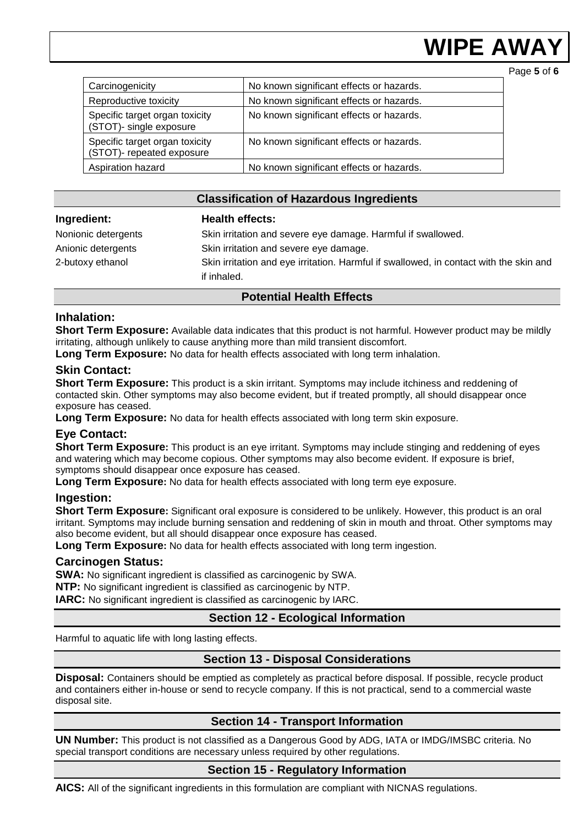Page **5** of **6**

| Carcinogenicity                                             | No known significant effects or hazards. |
|-------------------------------------------------------------|------------------------------------------|
| Reproductive toxicity                                       | No known significant effects or hazards. |
| Specific target organ toxicity<br>(STOT)- single exposure   | No known significant effects or hazards. |
| Specific target organ toxicity<br>(STOT)- repeated exposure | No known significant effects or hazards. |
| Aspiration hazard                                           | No known significant effects or hazards. |

### **Classification of Hazardous Ingredients**

#### **Ingredient: Health effects:**

Nonionic detergents Skin irritation and severe eye damage. Harmful if swallowed. Anionic detergents Skin irritation and severe eye damage. 2-butoxy ethanol Skin irritation and eye irritation. Harmful if swallowed, in contact with the skin and if inhaled.

# **Potential Health Effects**

#### **Inhalation:**

**Short Term Exposure:** Available data indicates that this product is not harmful. However product may be mildly irritating, although unlikely to cause anything more than mild transient discomfort.

**Long Term Exposure:** No data for health effects associated with long term inhalation.

#### **Skin Contact:**

**Short Term Exposure:** This product is a skin irritant. Symptoms may include itchiness and reddening of contacted skin. Other symptoms may also become evident, but if treated promptly, all should disappear once exposure has ceased.

**Long Term Exposure:** No data for health effects associated with long term skin exposure.

### **Eye Contact:**

**Short Term Exposure:** This product is an eye irritant. Symptoms may include stinging and reddening of eyes and watering which may become copious. Other symptoms may also become evident. If exposure is brief, symptoms should disappear once exposure has ceased.

**Long Term Exposure:** No data for health effects associated with long term eye exposure.

### **Ingestion:**

**Short Term Exposure:** Significant oral exposure is considered to be unlikely. However, this product is an oral irritant. Symptoms may include burning sensation and reddening of skin in mouth and throat. Other symptoms may also become evident, but all should disappear once exposure has ceased.

**Long Term Exposure:** No data for health effects associated with long term ingestion.

#### **Carcinogen Status:**

**SWA:** No significant ingredient is classified as carcinogenic by SWA.

**NTP:** No significant ingredient is classified as carcinogenic by NTP.

**IARC:** No significant ingredient is classified as carcinogenic by IARC.

# **Section 12 - Ecological Information**

Harmful to aquatic life with long lasting effects.

# **Section 13 - Disposal Considerations**

**Disposal:** Containers should be emptied as completely as practical before disposal. If possible, recycle product and containers either in-house or send to recycle company. If this is not practical, send to a commercial waste disposal site.

### **Section 14 - Transport Information**

**UN Number:** This product is not classified as a Dangerous Good by ADG, IATA or IMDG/IMSBC criteria. No special transport conditions are necessary unless required by other regulations.

### **Section 15 - Regulatory Information**

**AICS:** All of the significant ingredients in this formulation are compliant with NICNAS regulations.